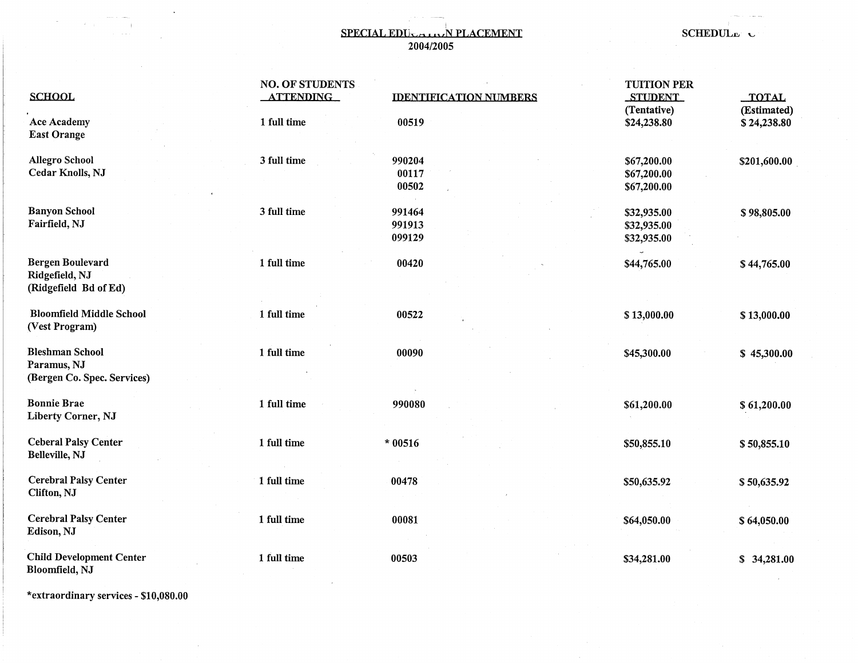## **SPECIAL EDUCATIVE PLACEMENT** SCHEDULE C 2004/2005

| <b>SCHOOL</b>                                                        | <b>NO. OF STUDENTS</b><br><b>ATTENDING</b> | <b>IDENTIFICATION NUMBERS</b> | <b>TUITION PER</b><br><b>STUDENT</b>      | <b>TOTAL</b>               |
|----------------------------------------------------------------------|--------------------------------------------|-------------------------------|-------------------------------------------|----------------------------|
| <b>Ace Academy</b><br><b>East Orange</b>                             | 1 full time                                | 00519                         | (Tentative)<br>\$24,238.80                | (Estimated)<br>\$24,238.80 |
| <b>Allegro School</b><br>Cedar Knolls, NJ                            | 3 full time                                | 990204<br>00117<br>00502      | \$67,200.00<br>\$67,200.00<br>\$67,200.00 | \$201,600.00               |
| <b>Banyon School</b><br>Fairfield, NJ                                | 3 full time                                | 991464<br>991913<br>099129    | \$32,935.00<br>\$32,935.00<br>\$32,935.00 | \$98,805.00                |
| Bergen Boulevard<br>Ridgefield, NJ<br>(Ridgefield Bd of Ed)          | 1 full time                                | 00420                         | \$44,765.00                               | \$44,765.00                |
| <b>Bloomfield Middle School</b><br>(Vest Program)                    | 1 full time                                | 00522                         | \$13,000.00                               | \$13,000.00                |
| <b>Bleshman School</b><br>Paramus, NJ<br>(Bergen Co. Spec. Services) | 1 full time                                | 00090                         | \$45,300.00                               | \$45,300.00                |
| <b>Bonnie Brae</b><br>Liberty Corner, NJ                             | 1 full time                                | 990080                        | \$61,200.00                               | \$61,200.00                |
| <b>Ceberal Palsy Center</b><br>Belleville, NJ                        | 1 full time                                | $*00516$                      | \$50,855.10                               | \$50,855.10                |
| <b>Cerebral Palsy Center</b><br>Clifton, NJ                          | 1 full time                                | 00478                         | \$50,635.92                               | \$50,635.92                |
| <b>Cerebral Palsy Center</b><br>Edison, NJ                           | 1 full time                                | 00081                         | \$64,050.00                               | \$64,050.00                |
| <b>Child Development Center</b><br>Bloomfield, NJ                    | 1 full time                                | 00503                         | \$34,281.00                               | \$34,281.00                |

\*extraordinary services - \$10,080.00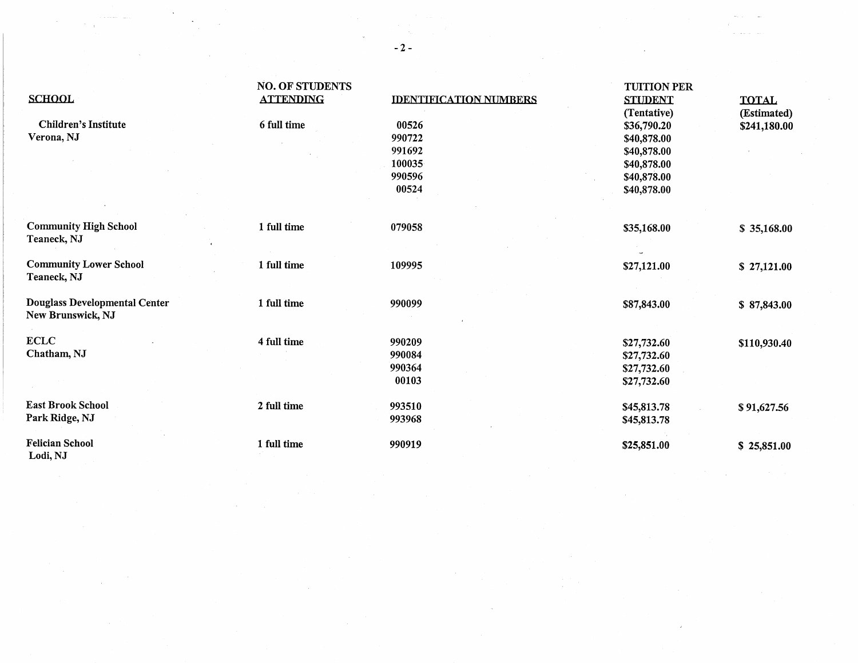| <b>SCHOOL</b>                                                    | <b>NO. OF STUDENTS</b><br><b>ATTENDING</b> | <b>IDENTIFICATION NUMBERS</b> | <b>TUITION PER</b><br><b>STUDENT</b> | <b>TOTAL</b>                |
|------------------------------------------------------------------|--------------------------------------------|-------------------------------|--------------------------------------|-----------------------------|
| <b>Children's Institute</b><br>Verona, NJ                        | 6 full time                                | 00526<br>990722               | (Tentative)<br>\$36,790.20           | (Estimated)<br>\$241,180.00 |
|                                                                  |                                            | 991692                        | \$40,878.00<br>\$40,878.00           |                             |
|                                                                  |                                            | 100035                        | \$40,878.00                          |                             |
|                                                                  |                                            | 990596                        | \$40,878.00                          |                             |
|                                                                  |                                            | 00524                         |                                      |                             |
|                                                                  |                                            |                               | \$40,878.00                          |                             |
|                                                                  |                                            |                               |                                      |                             |
| <b>Community High School</b><br>Teaneck, NJ                      | 1 full time                                | 079058                        | \$35,168.00                          | \$35,168.00                 |
| <b>Community Lower School</b>                                    | 1 full time                                | 109995                        | \$27,121.00                          | \$27,121.00                 |
| Teaneck, NJ                                                      |                                            |                               |                                      |                             |
|                                                                  |                                            |                               |                                      |                             |
| <b>Douglass Developmental Center</b><br><b>New Brunswick, NJ</b> | 1 full time                                | 990099                        | \$87,843.00                          | \$87,843.00                 |
| <b>ECLC</b>                                                      | 4 full time                                | 990209                        | \$27,732.60                          | \$110,930.40                |
| Chatham, NJ                                                      |                                            | 990084                        | \$27,732.60                          |                             |
|                                                                  |                                            | 990364                        | \$27,732.60                          |                             |
|                                                                  |                                            | 00103                         | \$27,732.60                          |                             |
| <b>East Brook School</b>                                         | 2 full time                                | 993510                        | \$45,813.78                          | \$91,627.56                 |
| Park Ridge, NJ                                                   |                                            | 993968                        | \$45,813.78                          |                             |
| <b>Felician School</b><br>Lodi, NJ                               | 1 full time                                | 990919                        | \$25,851.00                          | \$25,851.00                 |

-2-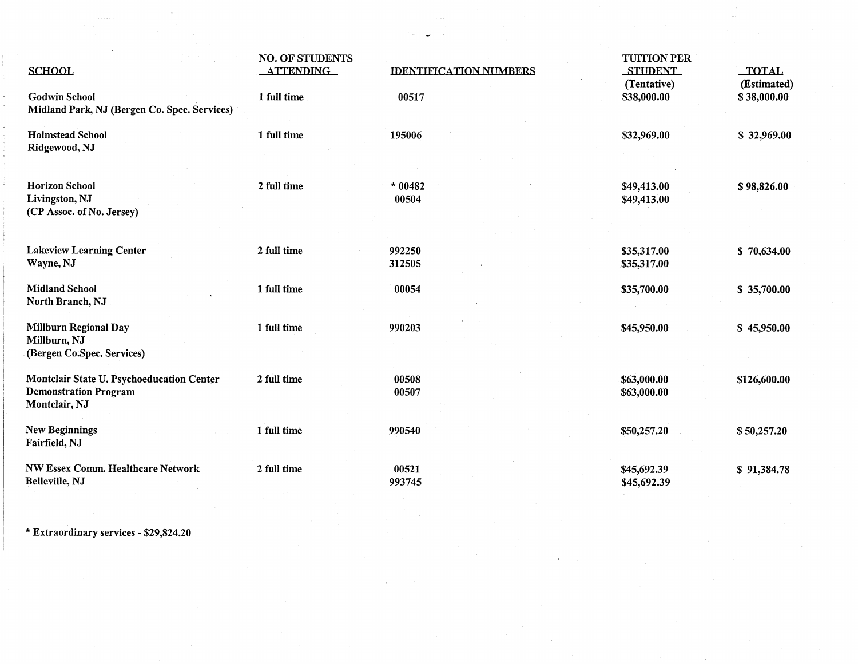| <b>SCHOOL</b>                                                                              | <b>NO. OF STUDENTS</b><br><b>ATTENDING</b> | <b>IDENTIFICATION NUMBERS</b> | <b>TUITION PER</b><br><b>STUDENT</b><br>(Tentative) | <b>TOTAL</b><br>(Estimated) |
|--------------------------------------------------------------------------------------------|--------------------------------------------|-------------------------------|-----------------------------------------------------|-----------------------------|
| <b>Godwin School</b><br>Midland Park, NJ (Bergen Co. Spec. Services)                       | 1 full time                                | 00517                         | \$38,000.00                                         | \$38,000.00                 |
| <b>Holmstead School</b><br>Ridgewood, NJ                                                   | 1 full time                                | 195006                        | \$32,969.00                                         | \$32,969.00                 |
| <b>Horizon School</b><br>Livingston, NJ<br>(CP Assoc. of No. Jersey)                       | 2 full time                                | $*00482$<br>00504             | \$49,413.00<br>\$49,413.00                          | \$98,826.00                 |
| <b>Lakeview Learning Center</b><br>Wayne, NJ                                               | 2 full time                                | 992250<br>312505              | \$35,317.00<br>\$35,317.00                          | \$70,634.00                 |
| <b>Midland School</b><br>North Branch, NJ                                                  | 1 full time                                | 00054                         | \$35,700.00                                         | \$35,700.00                 |
| <b>Millburn Regional Day</b><br>Millburn, NJ<br>(Bergen Co.Spec. Services)                 | 1 full time                                | 990203                        | \$45,950.00                                         | \$45,950.00                 |
| Montclair State U. Psychoeducation Center<br><b>Demonstration Program</b><br>Montclair, NJ | 2 full time                                | 00508<br>00507                | \$63,000.00<br>\$63,000.00                          | \$126,600.00                |
| <b>New Beginnings</b><br>Fairfield, NJ                                                     | 1 full time                                | 990540                        | \$50,257.20                                         | \$50,257.20                 |
| NW Essex Comm. Healthcare Network<br>Belleville, NJ                                        | 2 full time                                | 00521<br>993745               | \$45,692.39<br>\$45,692.39                          | \$91,384.78                 |

\* Extraordinary services - \$29,824.20

 $\hat{1}$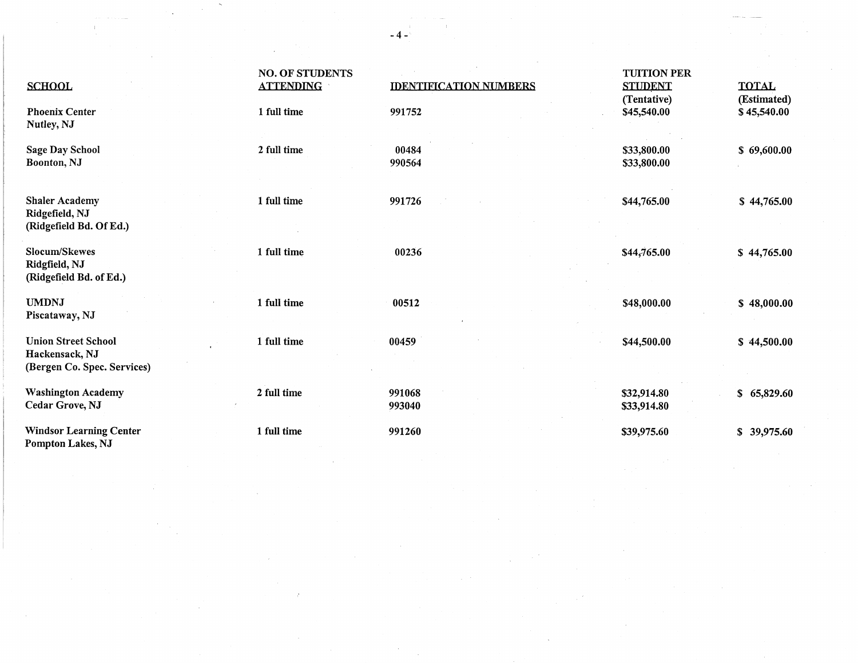| <b>SCHOOL</b>                                                               | <b>NO. OF STUDENTS</b><br><b>ATTENDING</b> | <b>IDENTIFICATION NUMBERS</b> | <b>TUITION PER</b><br><b>STUDENT</b> | <b>TOTAL</b>               |
|-----------------------------------------------------------------------------|--------------------------------------------|-------------------------------|--------------------------------------|----------------------------|
| <b>Phoenix Center</b><br>Nutley, NJ                                         | 1 full time                                | 991752                        | (Tentative)<br>\$45,540.00           | (Estimated)<br>\$45,540.00 |
| Sage Day School<br>Boonton, NJ                                              | 2 full time                                | 00484<br>990564               | \$33,800.00<br>\$33,800.00           | \$69,600.00                |
| <b>Shaler Academy</b><br>Ridgefield, NJ<br>(Ridgefield Bd. Of Ed.)          | 1 full time                                | 991726                        | \$44,765.00                          | \$44,765.00                |
| Slocum/Skewes<br>Ridgfield, NJ<br>(Ridgefield Bd. of Ed.)                   | 1 full time                                | 00236                         | \$44,765.00                          | \$44,765.00                |
| <b>UMDNJ</b><br>Piscataway, NJ                                              | 1 full time                                | 00512                         | \$48,000.00                          | \$48,000.00                |
| <b>Union Street School</b><br>Hackensack, NJ<br>(Bergen Co. Spec. Services) | 1 full time                                | 00459                         | \$44,500.00                          | \$44,500.00                |
| <b>Washington Academy</b><br>Cedar Grove, NJ                                | 2 full time                                | 991068<br>993040              | \$32,914.80<br>\$33,914.80           | \$65,829.60                |
| <b>Windsor Learning Center</b><br>Pompton Lakes, NJ                         | 1 full time                                | 991260                        | \$39,975.60                          | \$39,975.60                |

 $\label{eq:1} \frac{1}{\sqrt{2}}\sum_{i=1}^n\frac{1}{\sqrt{2\pi}}\sum_{i=1}^n\frac{1}{\sqrt{2\pi}}\sum_{i=1}^n\frac{1}{\sqrt{2\pi}}\sum_{i=1}^n\frac{1}{\sqrt{2\pi}}\sum_{i=1}^n\frac{1}{\sqrt{2\pi}}\sum_{i=1}^n\frac{1}{\sqrt{2\pi}}\sum_{i=1}^n\frac{1}{\sqrt{2\pi}}\sum_{i=1}^n\frac{1}{\sqrt{2\pi}}\sum_{i=1}^n\frac{1}{\sqrt{2\pi}}\sum_{i=1}^n\frac{1}{$ 

 $\sim 10^6$ 

 $\sim 10^{-1}$